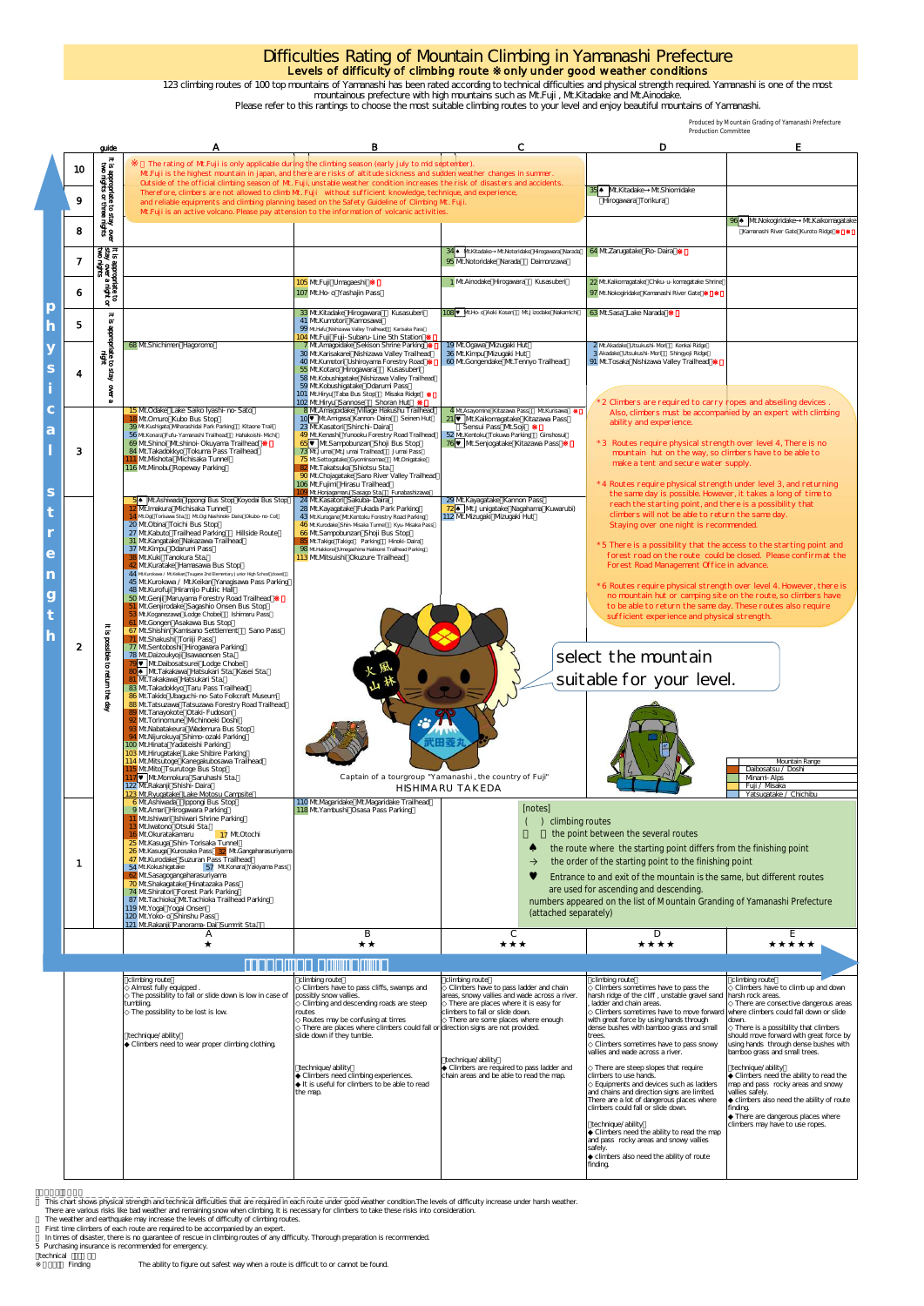This chart shows physical strength and technical difficulties that are required in each route under good weather condition.The levels of difficulty increase under harsh weather. chart shows physical strength and technical difficulties that are required in each route u

climbing route

## Difficulties Rating of Mountain Climbing in Yamanashi Prefecture Levels of difficulty of climbing route  $\;$  only under good weather conditions

There are various risks like bad weather and remaining snow when climbing. It is necessary for climbers to take these risks into consideration.

The weather and earthquake may increase the levels of difficulty of climbing routes.

First time climbers of each route are required to be accompanied by an expert.

climbing route

In times of disaster, there is no guarantee of rescue in climbing routes of any difficulty. Thorough preparation is recommended.

|                 |                                                                          |                                                                                                                                                                                                                                                                                                                                                                                                                                                                                                                                                                                                                                                                                                                                                                                                                                                                                                                                                                                                                                                                                                                                                                                                                                                                                                                                                                                                                                                                                                                                                                                                          |                                                                                                                                                                                                                                                                                                                                                                                                                                                               |                                                                                                                                                                                                                                                                                                                                                                                                                    | <b>Production Committee</b>                                                                                                                                                                                                                                                                                                                                                                                                                                                                                                                                                                                                                                                                                                                                                                                                    | Produced by Mountain Grading of Yamanashi Prefecture                                  |  |  |
|-----------------|--------------------------------------------------------------------------|----------------------------------------------------------------------------------------------------------------------------------------------------------------------------------------------------------------------------------------------------------------------------------------------------------------------------------------------------------------------------------------------------------------------------------------------------------------------------------------------------------------------------------------------------------------------------------------------------------------------------------------------------------------------------------------------------------------------------------------------------------------------------------------------------------------------------------------------------------------------------------------------------------------------------------------------------------------------------------------------------------------------------------------------------------------------------------------------------------------------------------------------------------------------------------------------------------------------------------------------------------------------------------------------------------------------------------------------------------------------------------------------------------------------------------------------------------------------------------------------------------------------------------------------------------------------------------------------------------|---------------------------------------------------------------------------------------------------------------------------------------------------------------------------------------------------------------------------------------------------------------------------------------------------------------------------------------------------------------------------------------------------------------------------------------------------------------|--------------------------------------------------------------------------------------------------------------------------------------------------------------------------------------------------------------------------------------------------------------------------------------------------------------------------------------------------------------------------------------------------------------------|--------------------------------------------------------------------------------------------------------------------------------------------------------------------------------------------------------------------------------------------------------------------------------------------------------------------------------------------------------------------------------------------------------------------------------------------------------------------------------------------------------------------------------------------------------------------------------------------------------------------------------------------------------------------------------------------------------------------------------------------------------------------------------------------------------------------------------|---------------------------------------------------------------------------------------|--|--|
|                 | guide                                                                    |                                                                                                                                                                                                                                                                                                                                                                                                                                                                                                                                                                                                                                                                                                                                                                                                                                                                                                                                                                                                                                                                                                                                                                                                                                                                                                                                                                                                                                                                                                                                                                                                          | В                                                                                                                                                                                                                                                                                                                                                                                                                                                             | C                                                                                                                                                                                                                                                                                                                                                                                                                  | D                                                                                                                                                                                                                                                                                                                                                                                                                                                                                                                                                                                                                                                                                                                                                                                                                              | E                                                                                     |  |  |
| 10 <sup>°</sup> | It is appropriate to stay over<br>two nights or three nights             | The rating of Mt.Fuji is only applicable during the climbing season (early july to mid september).<br>Mt.Fuji is the highest mountain in japan, and there are risks of altitude sickness and sudden weather changes in summer.<br>Outside of the official climbing season of Mt. Fuji, unstable weather condition increases the risk of disasters and accidents.                                                                                                                                                                                                                                                                                                                                                                                                                                                                                                                                                                                                                                                                                                                                                                                                                                                                                                                                                                                                                                                                                                                                                                                                                                         |                                                                                                                                                                                                                                                                                                                                                                                                                                                               |                                                                                                                                                                                                                                                                                                                                                                                                                    | 35 Mt.Kitadake Mt.Shiomidake                                                                                                                                                                                                                                                                                                                                                                                                                                                                                                                                                                                                                                                                                                                                                                                                   |                                                                                       |  |  |
| 9               |                                                                          | Therefore, climbers are not allowed to climb Mt. Fuji without sufficient knowledge, technique, and experience,<br>and reliable equipments and climbing planning based on the Safety Guideline of Climbing Mt. Fuji.<br>Mt.Fuji is an active volcano. Please pay attension to the information of volcanic activities.                                                                                                                                                                                                                                                                                                                                                                                                                                                                                                                                                                                                                                                                                                                                                                                                                                                                                                                                                                                                                                                                                                                                                                                                                                                                                     |                                                                                                                                                                                                                                                                                                                                                                                                                                                               |                                                                                                                                                                                                                                                                                                                                                                                                                    | Hirogawara Torikura                                                                                                                                                                                                                                                                                                                                                                                                                                                                                                                                                                                                                                                                                                                                                                                                            |                                                                                       |  |  |
| 8               |                                                                          |                                                                                                                                                                                                                                                                                                                                                                                                                                                                                                                                                                                                                                                                                                                                                                                                                                                                                                                                                                                                                                                                                                                                                                                                                                                                                                                                                                                                                                                                                                                                                                                                          |                                                                                                                                                                                                                                                                                                                                                                                                                                                               |                                                                                                                                                                                                                                                                                                                                                                                                                    |                                                                                                                                                                                                                                                                                                                                                                                                                                                                                                                                                                                                                                                                                                                                                                                                                                | 96 <sup>4</sup> Mt.Nokogiridake Mt.Kaikomagatake<br>Kamanashi River Gate Kuroto Ridge |  |  |
| $\overline{7}$  |                                                                          |                                                                                                                                                                                                                                                                                                                                                                                                                                                                                                                                                                                                                                                                                                                                                                                                                                                                                                                                                                                                                                                                                                                                                                                                                                                                                                                                                                                                                                                                                                                                                                                                          |                                                                                                                                                                                                                                                                                                                                                                                                                                                               | 34 Mt.Kitadake Mt.Notoridake Hirogawara Narada<br>95 Mt.Notoridake Narada Daimonzava                                                                                                                                                                                                                                                                                                                               | 64 Mt.Zarugatake Ro-Daira                                                                                                                                                                                                                                                                                                                                                                                                                                                                                                                                                                                                                                                                                                                                                                                                      |                                                                                       |  |  |
| 6               | It is appropriate to<br>stay over a night or<br>two nights               |                                                                                                                                                                                                                                                                                                                                                                                                                                                                                                                                                                                                                                                                                                                                                                                                                                                                                                                                                                                                                                                                                                                                                                                                                                                                                                                                                                                                                                                                                                                                                                                                          | 105 Mt.Fuji Umagaeshi<br>107 Mt.Ho- o Yashajin Pass                                                                                                                                                                                                                                                                                                                                                                                                           | 1 Mt.Ainodake Hirogawara<br>Kusasuberi                                                                                                                                                                                                                                                                                                                                                                             | 22 Mt.Kaikomagatake Chiku-u-komagatake Shrine<br>97 Mt.Nokogiridake Kamanashi River Gate                                                                                                                                                                                                                                                                                                                                                                                                                                                                                                                                                                                                                                                                                                                                       |                                                                                       |  |  |
| 5               |                                                                          |                                                                                                                                                                                                                                                                                                                                                                                                                                                                                                                                                                                                                                                                                                                                                                                                                                                                                                                                                                                                                                                                                                                                                                                                                                                                                                                                                                                                                                                                                                                                                                                                          | 33 Mt.Kitadake Hirogawara<br>Kusasuberi<br>41 Mt.Kumotori Kamosawa<br>99 Mt. Hafu Nishizawa Valley Trailhead Karisaka Pass<br>104 Mt.Fuji Fuji-Subaru-Line 5th Station                                                                                                                                                                                                                                                                                        | <b>108 Wt.Ho-o Aoki Kosen</b> MtJizodake Nakamichi                                                                                                                                                                                                                                                                                                                                                                 | 63 Mt.Sasa Lake Narada                                                                                                                                                                                                                                                                                                                                                                                                                                                                                                                                                                                                                                                                                                                                                                                                         |                                                                                       |  |  |
| 4               | It is appropriate to stay<br>It is appropriate to stay<br><b>Sept</b>    | 68 Mt.Shichimen Hagoromo                                                                                                                                                                                                                                                                                                                                                                                                                                                                                                                                                                                                                                                                                                                                                                                                                                                                                                                                                                                                                                                                                                                                                                                                                                                                                                                                                                                                                                                                                                                                                                                 | 7 Mt.Amagoidake Sekison Shrine Parking<br>30 Mt.Karisakarei Nishizawa Valley Trailhead<br>40 Mt.Kumotori Ushiroyama Forestry Road<br>55 Mt.Kotaro Hirogawara Kusasuberi<br>58 Mt.Kobushigatake Nishizava Valley Trailhead<br>59 Mt.Kobushigatake Odarumi Pass<br>101 Mt.Hiryu Taba Bus Stop Msaka Ridge                                                                                                                                                       | 19 Mt. Ogawa Mzugaki Hut<br>36 Mt.Kimpu Mzugaki Hut<br>60 Mt.Gongendake Mt.Tennyo Trailhead                                                                                                                                                                                                                                                                                                                        | 2 Mt.Akadake Utsukushi-Mori Kenkai Ridge<br>3 Akadake Utsukushi-Mori Shingyoji Ridge<br>91 Mt. Tosaka Nishizawa Valley Trailhead                                                                                                                                                                                                                                                                                                                                                                                                                                                                                                                                                                                                                                                                                               |                                                                                       |  |  |
| 3               |                                                                          | 15 Mt. Odake Lake Saiko Iyashi- no-Sato<br>18 Mt.Omuro Kubo Bus Stop<br>39 Mt.Kushigata Mharashidai Park Parking Kitaone Trail<br>56 Mt.Konara Fufu-Yamanashi Trailhead Hahakoishi-Mchi<br>69 Mt.Shinoi Mt.shinoi-Okuyama Trailhead<br>84 Mt. Takadokkyo Tokuma Pass Trailhead<br>111 Mt.Mshotai Mchisaka Tunnel<br>116 Mt.Mnobu Ropevay Parking                                                                                                                                                                                                                                                                                                                                                                                                                                                                                                                                                                                                                                                                                                                                                                                                                                                                                                                                                                                                                                                                                                                                                                                                                                                         | 102 Mt.Hiryu Sannose Shoran Hut<br>8 Mt.Amagoidake Village Hakushu Trailhead<br>10 Wt.Amigasa Kannon-Daira Seinen Hut<br>23 Mt.Kasatori Shinchi-Daira<br>49 Mt.Kenashi Yunooku Forestry Road Trailhead<br>65 V Mt.Sampobunzan Shoji Bus Stop<br>73 Mt. Jumai Mt. Jumai Trailhead Jumai Pass<br>75 Mt.Settogatake Gyominsomae Mt.Onigatake<br>82 Mt. Takatsuka Shiotsu Sta.<br>90 Mt.Chojagatake Sano River Valley Trailhead<br>106 Mt.Fujimi Hirasu Trailhead | 4 Mt.Asayomine Kitazawa Pass Mt.Kurisawa<br>21   Mt.Kaikomagatake Kitazawa Pass<br>Sensui Pass Mt.Soii<br>52 Mt.Kentoku Tokuwa Parking Ginshosui<br>76 Mt.Senjogatake Kitazawa Pass                                                                                                                                                                                                                                | 2 Climbers are required to carry ropes and abseiling devices.<br>Also, climbers must be accompanied by an expert with climbing<br>ability and experience.<br>* 3 Routes require physical strength over level 4, There is no<br>mountain hut on the way, so climbers have to be able to<br>make a tent and secure water supply.<br>* 4 Routes require physical strength under level 3, and returning                                                                                                                                                                                                                                                                                                                                                                                                                            |                                                                                       |  |  |
| $\overline{2}$  | $\frac{1}{3}$<br>possible<br>ಕ<br><b>Germu</b><br>$\ddot{\vec{s}}$<br>දි | 5 <sup>4</sup> Mt.Ashiwada Ippongi Bus Stop Koyodai Bus Stop<br>12 Mt. Imakura Mchisaka Tunnel<br>14 Mt.Ogi Torisawa Sta. Mt.Ogi Nashinoki-Daira Okubo-no-Col<br>20 Mt.Obina Toichi Bus Stop<br>27 Mt.Kabuto Trailhead Parking Hillside Route<br>31 Mt.Kangatake Nakazawa Trailhead<br>37 Mt.Kimpu Odarumi Pass<br>38 Mt.Kuki Tanokura Sta.<br>42 Mt.Kuratake Hamasawa Bus Stop<br>44 MtKurokawa / MtKeikan Tsugane 2nd Elementary Junior High School closed<br>45 Mt.Kurokawa / Mt.Keikan Yanagisawa Pass Parking<br>48 Mt.Kurofuji Hiramijo Public Hall<br>50 Mt.Genji Maruyama Forestry Road Trailhead<br>51 Mt.Genjirodake Sagashio Onsen Bus Stop<br>53 Mt. Koganezawa Lodge Chobei Ishimaru Pass<br>61 Mt.Gongen Asakawa Bus Stop<br>67 Mt. Shishin Kamisano Settlement Sano Pass<br>71 Mt.Shakushi Toriiji Pass<br>77 Mt.Sentoboshi Hirogawara Parking<br>78 Mt.Daizoukyoji Isawaonsen Sta.<br>79 Mt.Daibosatsurei Lodge Chobei<br>80 Mt.Takakawa Hatsukari Sta. Kasei Sta.<br>81 Mt. Takakawa Hatsukari Sta.<br>83 Mt. Takadokkyo Taru Pass Trailhead<br>86 Mt. Takido Ubaguchi- no-Sato Folkcraft Museum<br>88 Mt. Tatsuzawa Tatsuzawa Forestry Road Trailhead<br>89 Mt. Tanayokote Otaki-Fudoson<br>92 Mt.Torinomune Mchinoeki Doshi<br>93 Mt. Nabatakeura Wademura Bus Stop<br>94 Mt.Nijurokuya Shimo-ozaki Parking<br>100 Mt.Hinata Yadateishi Parking<br>103 Mt. Hirugatake Lake Shibire Parking<br>114 Mt.Mtsutoge Kanegakubosawa Trailhead<br>115 Mt. Mto Tsurutoge Bus Stop<br>117   Mt.Momokura Saruhashi Sta.<br>122 Mt. Rakanji Shishi-Daira<br>123 Mt.Ryugatake Lake Motosu Campsite | O9 Mt.Honjagamaru Sasago Sta. Funabashizawa<br>24 Mt.Kasatori Sakuba-Daira<br>28 Mt.Kayagatake Fukada Park Parking<br>43 Mt.Kurogane Mt.Kentoku Forestry Road Parking<br>46 Mt.Kurodake Shin-Msaka Tunnel Kyu-Msaka Pass<br>66 Mt.Sampobunzan Shoji Bus Stop<br>85 Mt. Takigo Takigo Parking Hinoki-Daira<br>98 Mt.Hakkorei Umegashima Hakkorei Trailhead Parking<br>113 Mt.Mtsuishi Okuzure Trailhead                                                        | 29 Mt.Kayagatake Kannon Pass<br>72 Mt.Junigatake Nagahama Kuwarubi)<br>112 Mt.Mzugaki Mzugaki Hut<br>计出售制<br>Captain of a tourgroup "Yamanashi, the country of Fuji"<br>HISHIMARU TAKEDA                                                                                                                                                                                                                           | the same day is possible. However, it takes a long of time to<br>reach the starting point, and there is a possibility that<br>climbers will not be able to return the same day.<br>Staying over one night is recommended.<br>*5 There is a possibility that the access to the starting point and<br>forest road on the route could be closed. Please confirm at the<br>Forest Road Management Office in advance.<br>* 6 Routes require physical strength over level 4. However, there is<br>no mountain hut or camping site on the route, so climbers have<br>to be able to return the same day. These routes also require<br>sufficient experience and physical strength.<br>select the mountain<br>suitable for your level.<br>Mountain Range<br>Daibosatsu / Doshi<br>Mnami-Alps<br>Fuji / Misaka<br>Yatsugatake / Chichibu |                                                                                       |  |  |
| 1               |                                                                          | 6 Mt. Ashiwada Ippongi Bus Stop<br>9 Mt.Amari Hirogawara Parking<br>11 Mt.Ishiwari Ishiwari Shrine Parking<br>13 Mt. Iwatono Otsuki Sta.<br>16 Mt. Okuratakamaru<br>17 Mt.Otochi<br>25 Mt.Kasuga Shin-Torisaka Tunnel<br>26 Mt.Kasuga Kurosaka Pass 32 Mt.Gangaharasuriyama<br>47 Mt.Kurodake Suzuran Pass Trailhead<br>54 Mt.Kokushigatake<br>57 Mt.Konara Yakiyama Pass<br>62 Mt.Sasagogangaharasuriyama<br>70 Mt.Shakagatake Hinatazaka Pass<br>74 Mt.Shiratori Forest Park Parking<br>87 Mt. Tachioka Mt. Tachioka Trailhead Parking<br>119 Mt. Yogai Yogai Onsen<br>120 Mt.Yoko- o Shinshu Pass<br>121 Mt.Rakanji Panorama-Dai Summit Sta.                                                                                                                                                                                                                                                                                                                                                                                                                                                                                                                                                                                                                                                                                                                                                                                                                                                                                                                                                          | 110 Mt. Magaridake Mt. Magaridake Trailhead<br>118 Mt. Yambushi Osasa Pass Parking                                                                                                                                                                                                                                                                                                                                                                            | climbing routes<br>the point between the several routes<br>the route where the starting point differs from the finishing point<br>the order of the starting point to the finishing point<br>Entrance to and exit of the mountain is the same, but different routes<br>are used for ascending and descending.<br>numbers appeared on the list of Mountain Granding of Yamanashi Prefecture<br>(attached separately) |                                                                                                                                                                                                                                                                                                                                                                                                                                                                                                                                                                                                                                                                                                                                                                                                                                |                                                                                       |  |  |
|                 |                                                                          | Α                                                                                                                                                                                                                                                                                                                                                                                                                                                                                                                                                                                                                                                                                                                                                                                                                                                                                                                                                                                                                                                                                                                                                                                                                                                                                                                                                                                                                                                                                                                                                                                                        | B                                                                                                                                                                                                                                                                                                                                                                                                                                                             | C                                                                                                                                                                                                                                                                                                                                                                                                                  | D                                                                                                                                                                                                                                                                                                                                                                                                                                                                                                                                                                                                                                                                                                                                                                                                                              | Е                                                                                     |  |  |
|                 |                                                                          |                                                                                                                                                                                                                                                                                                                                                                                                                                                                                                                                                                                                                                                                                                                                                                                                                                                                                                                                                                                                                                                                                                                                                                                                                                                                                                                                                                                                                                                                                                                                                                                                          |                                                                                                                                                                                                                                                                                                                                                                                                                                                               |                                                                                                                                                                                                                                                                                                                                                                                                                    |                                                                                                                                                                                                                                                                                                                                                                                                                                                                                                                                                                                                                                                                                                                                                                                                                                |                                                                                       |  |  |
|                 |                                                                          | climbing route                                                                                                                                                                                                                                                                                                                                                                                                                                                                                                                                                                                                                                                                                                                                                                                                                                                                                                                                                                                                                                                                                                                                                                                                                                                                                                                                                                                                                                                                                                                                                                                           | climbing route                                                                                                                                                                                                                                                                                                                                                                                                                                                | climbing route                                                                                                                                                                                                                                                                                                                                                                                                     | climbing route                                                                                                                                                                                                                                                                                                                                                                                                                                                                                                                                                                                                                                                                                                                                                                                                                 | climbing route                                                                        |  |  |

5 Purchasing insurance is recommended for emergency.

technical<br>Finding

123 climbing routes of 100 top mountains of Yamanashi has been rated according to technical difficulties and physical strength required. Yamanashi is one of the most

mountainous prefecture with high mountains such as Mt.Fuji , Mt.Kitadake and Mt.Ainodake.

Please refer to this rantings to choose the most suitable climbing routes to your level and enjoy beautiful mountains of Yamanashi.

| Almost fully equipped.                                  | Climbers have to pass cliffs, swamps and                                        | Climbers have to pass ladder and chain        | Climbers sometimes have to pass the                                             | Climbers have to climb up and down      |
|---------------------------------------------------------|---------------------------------------------------------------------------------|-----------------------------------------------|---------------------------------------------------------------------------------|-----------------------------------------|
| The possibility to fall or slide down is low in case of | possibly snow vallies.                                                          | areas, snowy vallies and wade across a river. | harsh ridge of the cliff, unstable gravel sand harsh rock areas.                |                                         |
| tumbling.                                               | Climbing and descending roads are steep                                         | There are places where it is easy for         | ladder and chain areas.                                                         | There are consective dangerous areas    |
| The possibility to be lost is low                       | routes                                                                          | climbers to fall or slide down.               | Climbers sometimes have to move forward where climbers could fall down or slide |                                         |
|                                                         | Routes may be confusing at times                                                | There are some places where enough            | with great force by using hands through                                         | down.                                   |
|                                                         | There are places where climbers could fall or direction signs are not provided. |                                               | dense bushes with bamboo grass and small                                        | There is a possibility that climbers    |
| technique/ability                                       | slide down if they tumble.                                                      |                                               | trees.                                                                          | should move forward with great force by |
| Climbers need to wear proper climbing clothing          |                                                                                 |                                               | Climbers sometimes have to pass snowy                                           | using hands through dense bushes with   |
|                                                         |                                                                                 |                                               | vallies and wade across a river.                                                | bamboo grass and small trees.           |
|                                                         |                                                                                 | technique/ability                             |                                                                                 |                                         |
|                                                         | technique/ability                                                               | Climbers are required to pass ladder and      | There are steep slopes that require                                             | technique/ability                       |
|                                                         | Climbers need climbing experiences.                                             | chain areas and be able to read the map.      | climbers to use hands.                                                          | Climbers need the ability to read the   |
|                                                         | It is useful for climbers to be able to read                                    |                                               | Equipments and devices such as ladders                                          | map and pass rocky areas and snowy      |
|                                                         | the map.                                                                        |                                               | and chains and direction signs are limited.                                     | vallies safely.                         |
|                                                         |                                                                                 |                                               | There are a lot of dangerous places where                                       | climbers also need the ability of route |
|                                                         |                                                                                 |                                               | climbers could fall or slide down.                                              | finding.                                |
|                                                         |                                                                                 |                                               |                                                                                 | There are dangerous places where        |
|                                                         |                                                                                 |                                               | technique/ability                                                               | climbers may have to use ropes.         |
|                                                         |                                                                                 |                                               | Climbers need the ability to read the map                                       |                                         |
|                                                         |                                                                                 |                                               | and pass rocky areas and snowy vallies                                          |                                         |
|                                                         |                                                                                 |                                               | safely.                                                                         |                                         |
|                                                         |                                                                                 |                                               | climbers also need the ability of route                                         |                                         |
|                                                         |                                                                                 |                                               | finding.                                                                        |                                         |
|                                                         |                                                                                 |                                               |                                                                                 |                                         |

climbing route

climbing route

**p h**

**y**

**i c**

**l**

**t r e n**

**g t h**

The ability to figure out safest way when a route is difficult to or cannot be found.